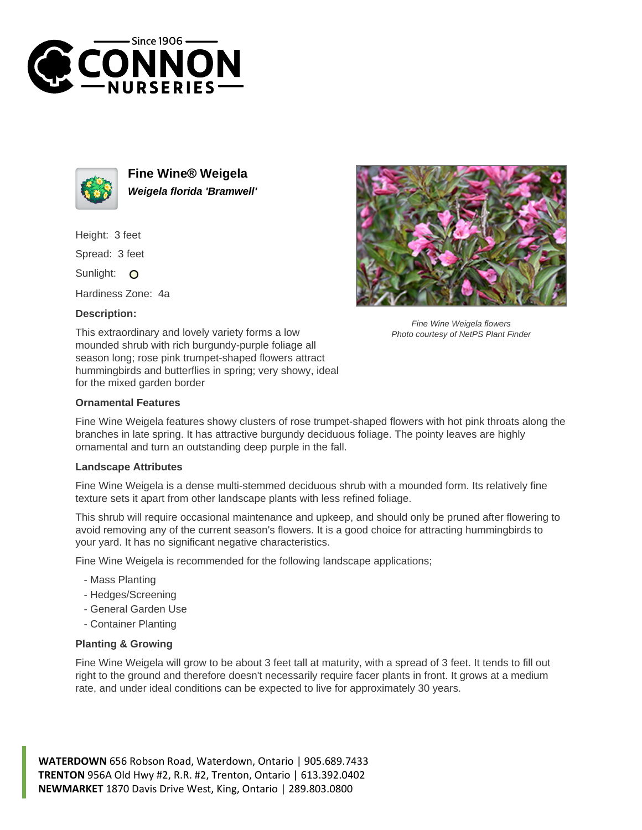



**Fine Wine® Weigela Weigela florida 'Bramwell'**

Height: 3 feet

Spread: 3 feet

Sunlight: O

Hardiness Zone: 4a

## **Description:**



## **Ornamental Features**

Fine Wine Weigela features showy clusters of rose trumpet-shaped flowers with hot pink throats along the branches in late spring. It has attractive burgundy deciduous foliage. The pointy leaves are highly ornamental and turn an outstanding deep purple in the fall.

## **Landscape Attributes**

Fine Wine Weigela is a dense multi-stemmed deciduous shrub with a mounded form. Its relatively fine texture sets it apart from other landscape plants with less refined foliage.

This shrub will require occasional maintenance and upkeep, and should only be pruned after flowering to avoid removing any of the current season's flowers. It is a good choice for attracting hummingbirds to your yard. It has no significant negative characteristics.

Fine Wine Weigela is recommended for the following landscape applications;

- Mass Planting
- Hedges/Screening
- General Garden Use
- Container Planting

## **Planting & Growing**

Fine Wine Weigela will grow to be about 3 feet tall at maturity, with a spread of 3 feet. It tends to fill out right to the ground and therefore doesn't necessarily require facer plants in front. It grows at a medium rate, and under ideal conditions can be expected to live for approximately 30 years.

**WATERDOWN** 656 Robson Road, Waterdown, Ontario | 905.689.7433 **TRENTON** 956A Old Hwy #2, R.R. #2, Trenton, Ontario | 613.392.0402 **NEWMARKET** 1870 Davis Drive West, King, Ontario | 289.803.0800



Fine Wine Weigela flowers Photo courtesy of NetPS Plant Finder